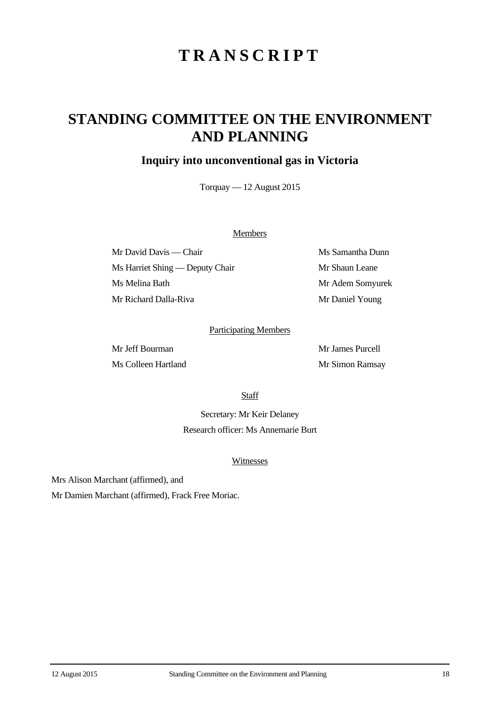# **TRANSCRIPT**

## **STANDING COMMITTEE ON THE ENVIRONMENT AND PLANNING**

### **Inquiry into unconventional gas in Victoria**

Torquay — 12 August 2015

#### **Members**

Mr David Davis — Chair Ms Samantha Dunn Ms Harriet Shing — Deputy Chair Mr Shaun Leane Ms Melina Bath Mr Adem Somyurek Mr Richard Dalla-Riva Mr Daniel Young

#### Participating Members

Mr Jeff Bourman Mr James Purcell Ms Colleen Hartland Mr Simon Ramsay

**Staff** 

Secretary: Mr Keir Delaney Research officer: Ms Annemarie Burt

#### Witnesses

Mrs Alison Marchant (affirmed), and

Mr Damien Marchant (affirmed), Frack Free Moriac.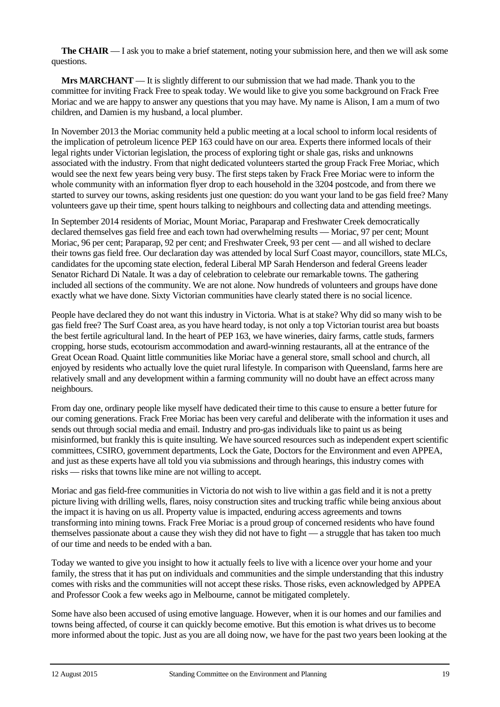**The CHAIR** — I ask you to make a brief statement, noting your submission here, and then we will ask some questions.

**Mrs MARCHANT** — It is slightly different to our submission that we had made. Thank you to the committee for inviting Frack Free to speak today. We would like to give you some background on Frack Free Moriac and we are happy to answer any questions that you may have. My name is Alison, I am a mum of two children, and Damien is my husband, a local plumber.

In November 2013 the Moriac community held a public meeting at a local school to inform local residents of the implication of petroleum licence PEP 163 could have on our area. Experts there informed locals of their legal rights under Victorian legislation, the process of exploring tight or shale gas, risks and unknowns associated with the industry. From that night dedicated volunteers started the group Frack Free Moriac, which would see the next few years being very busy. The first steps taken by Frack Free Moriac were to inform the whole community with an information flyer drop to each household in the 3204 postcode, and from there we started to survey our towns, asking residents just one question: do you want your land to be gas field free? Many volunteers gave up their time, spent hours talking to neighbours and collecting data and attending meetings.

In September 2014 residents of Moriac, Mount Moriac, Paraparap and Freshwater Creek democratically declared themselves gas field free and each town had overwhelming results — Moriac, 97 per cent; Mount Moriac, 96 per cent; Paraparap, 92 per cent; and Freshwater Creek, 93 per cent — and all wished to declare their towns gas field free. Our declaration day was attended by local Surf Coast mayor, councillors, state MLCs, candidates for the upcoming state election, federal Liberal MP Sarah Henderson and federal Greens leader Senator Richard Di Natale. It was a day of celebration to celebrate our remarkable towns. The gathering included all sections of the community. We are not alone. Now hundreds of volunteers and groups have done exactly what we have done. Sixty Victorian communities have clearly stated there is no social licence.

People have declared they do not want this industry in Victoria. What is at stake? Why did so many wish to be gas field free? The Surf Coast area, as you have heard today, is not only a top Victorian tourist area but boasts the best fertile agricultural land. In the heart of PEP 163, we have wineries, dairy farms, cattle studs, farmers cropping, horse studs, ecotourism accommodation and award-winning restaurants, all at the entrance of the Great Ocean Road. Quaint little communities like Moriac have a general store, small school and church, all enjoyed by residents who actually love the quiet rural lifestyle. In comparison with Queensland, farms here are relatively small and any development within a farming community will no doubt have an effect across many neighbours.

From day one, ordinary people like myself have dedicated their time to this cause to ensure a better future for our coming generations. Frack Free Moriac has been very careful and deliberate with the information it uses and sends out through social media and email. Industry and pro-gas individuals like to paint us as being misinformed, but frankly this is quite insulting. We have sourced resources such as independent expert scientific committees, CSIRO, government departments, Lock the Gate, Doctors for the Environment and even APPEA, and just as these experts have all told you via submissions and through hearings, this industry comes with risks — risks that towns like mine are not willing to accept.

Moriac and gas field-free communities in Victoria do not wish to live within a gas field and it is not a pretty picture living with drilling wells, flares, noisy construction sites and trucking traffic while being anxious about the impact it is having on us all. Property value is impacted, enduring access agreements and towns transforming into mining towns. Frack Free Moriac is a proud group of concerned residents who have found themselves passionate about a cause they wish they did not have to fight — a struggle that has taken too much of our time and needs to be ended with a ban.

Today we wanted to give you insight to how it actually feels to live with a licence over your home and your family, the stress that it has put on individuals and communities and the simple understanding that this industry comes with risks and the communities will not accept these risks. Those risks, even acknowledged by APPEA and Professor Cook a few weeks ago in Melbourne, cannot be mitigated completely.

Some have also been accused of using emotive language. However, when it is our homes and our families and towns being affected, of course it can quickly become emotive. But this emotion is what drives us to become more informed about the topic. Just as you are all doing now, we have for the past two years been looking at the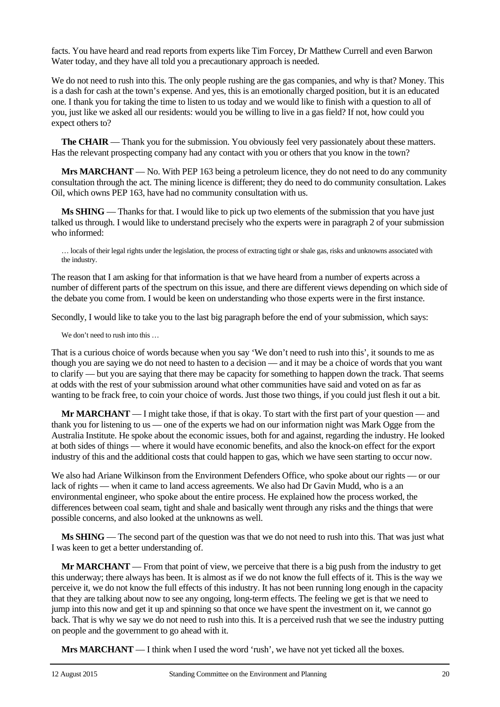facts. You have heard and read reports from experts like Tim Forcey, Dr Matthew Currell and even Barwon Water today, and they have all told you a precautionary approach is needed.

We do not need to rush into this. The only people rushing are the gas companies, and why is that? Money. This is a dash for cash at the town's expense. And yes, this is an emotionally charged position, but it is an educated one. I thank you for taking the time to listen to us today and we would like to finish with a question to all of you, just like we asked all our residents: would you be willing to live in a gas field? If not, how could you expect others to?

**The CHAIR** — Thank you for the submission. You obviously feel very passionately about these matters. Has the relevant prospecting company had any contact with you or others that you know in the town?

**Mrs MARCHANT** — No. With PEP 163 being a petroleum licence, they do not need to do any community consultation through the act. The mining licence is different; they do need to do community consultation. Lakes Oil, which owns PEP 163, have had no community consultation with us.

**Ms SHING** — Thanks for that. I would like to pick up two elements of the submission that you have just talked us through. I would like to understand precisely who the experts were in paragraph 2 of your submission who informed:

… locals of their legal rights under the legislation, the process of extracting tight or shale gas, risks and unknowns associated with the industry.

The reason that I am asking for that information is that we have heard from a number of experts across a number of different parts of the spectrum on this issue, and there are different views depending on which side of the debate you come from. I would be keen on understanding who those experts were in the first instance.

Secondly, I would like to take you to the last big paragraph before the end of your submission, which says:

We don't need to rush into this ...

That is a curious choice of words because when you say 'We don't need to rush into this', it sounds to me as though you are saying we do not need to hasten to a decision — and it may be a choice of words that you want to clarify — but you are saying that there may be capacity for something to happen down the track. That seems at odds with the rest of your submission around what other communities have said and voted on as far as wanting to be frack free, to coin your choice of words. Just those two things, if you could just flesh it out a bit.

**Mr MARCHANT** — I might take those, if that is okay. To start with the first part of your question — and thank you for listening to us — one of the experts we had on our information night was Mark Ogge from the Australia Institute. He spoke about the economic issues, both for and against, regarding the industry. He looked at both sides of things — where it would have economic benefits, and also the knock-on effect for the export industry of this and the additional costs that could happen to gas, which we have seen starting to occur now.

We also had Ariane Wilkinson from the Environment Defenders Office, who spoke about our rights — or our lack of rights — when it came to land access agreements. We also had Dr Gavin Mudd, who is a an environmental engineer, who spoke about the entire process. He explained how the process worked, the differences between coal seam, tight and shale and basically went through any risks and the things that were possible concerns, and also looked at the unknowns as well.

**Ms SHING** — The second part of the question was that we do not need to rush into this. That was just what I was keen to get a better understanding of.

**Mr MARCHANT** — From that point of view, we perceive that there is a big push from the industry to get this underway; there always has been. It is almost as if we do not know the full effects of it. This is the way we perceive it, we do not know the full effects of this industry. It has not been running long enough in the capacity that they are talking about now to see any ongoing, long-term effects. The feeling we get is that we need to jump into this now and get it up and spinning so that once we have spent the investment on it, we cannot go back. That is why we say we do not need to rush into this. It is a perceived rush that we see the industry putting on people and the government to go ahead with it.

**Mrs MARCHANT** — I think when I used the word 'rush', we have not yet ticked all the boxes.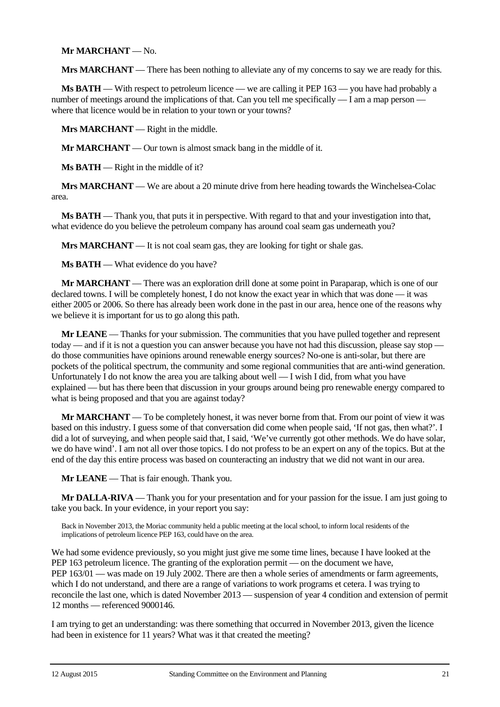#### **Mr MARCHANT** — No.

**Mrs MARCHANT** — There has been nothing to alleviate any of my concerns to say we are ready for this.

**Ms BATH** — With respect to petroleum licence — we are calling it PEP 163 — you have had probably a number of meetings around the implications of that. Can you tell me specifically — I am a map person where that licence would be in relation to your town or your towns?

**Mrs MARCHANT** — Right in the middle.

**Mr MARCHANT** — Our town is almost smack bang in the middle of it.

**Ms BATH** — Right in the middle of it?

**Mrs MARCHANT** — We are about a 20 minute drive from here heading towards the Winchelsea-Colac area.

**Ms BATH** — Thank you, that puts it in perspective. With regard to that and your investigation into that, what evidence do you believe the petroleum company has around coal seam gas underneath you?

Mrs MARCHANT — It is not coal seam gas, they are looking for tight or shale gas.

**Ms BATH** — What evidence do you have?

**Mr MARCHANT** — There was an exploration drill done at some point in Paraparap, which is one of our declared towns. I will be completely honest, I do not know the exact year in which that was done — it was either 2005 or 2006. So there has already been work done in the past in our area, hence one of the reasons why we believe it is important for us to go along this path.

**Mr LEANE** — Thanks for your submission. The communities that you have pulled together and represent today — and if it is not a question you can answer because you have not had this discussion, please say stop do those communities have opinions around renewable energy sources? No-one is anti-solar, but there are pockets of the political spectrum, the community and some regional communities that are anti-wind generation. Unfortunately I do not know the area you are talking about well — I wish I did, from what you have explained — but has there been that discussion in your groups around being pro renewable energy compared to what is being proposed and that you are against today?

**Mr MARCHANT** — To be completely honest, it was never borne from that. From our point of view it was based on this industry. I guess some of that conversation did come when people said, 'If not gas, then what?'. I did a lot of surveying, and when people said that, I said, 'We've currently got other methods. We do have solar, we do have wind'. I am not all over those topics. I do not profess to be an expert on any of the topics. But at the end of the day this entire process was based on counteracting an industry that we did not want in our area.

**Mr LEANE** — That is fair enough. Thank you.

**Mr DALLA-RIVA** — Thank you for your presentation and for your passion for the issue. I am just going to take you back. In your evidence, in your report you say:

Back in November 2013, the Moriac community held a public meeting at the local school, to inform local residents of the implications of petroleum licence PEP 163, could have on the area.

We had some evidence previously, so you might just give me some time lines, because I have looked at the PEP 163 petroleum licence. The granting of the exploration permit — on the document we have, PEP 163/01 — was made on 19 July 2002. There are then a whole series of amendments or farm agreements, which I do not understand, and there are a range of variations to work programs et cetera. I was trying to reconcile the last one, which is dated November 2013 — suspension of year 4 condition and extension of permit 12 months — referenced 9000146.

I am trying to get an understanding: was there something that occurred in November 2013, given the licence had been in existence for 11 years? What was it that created the meeting?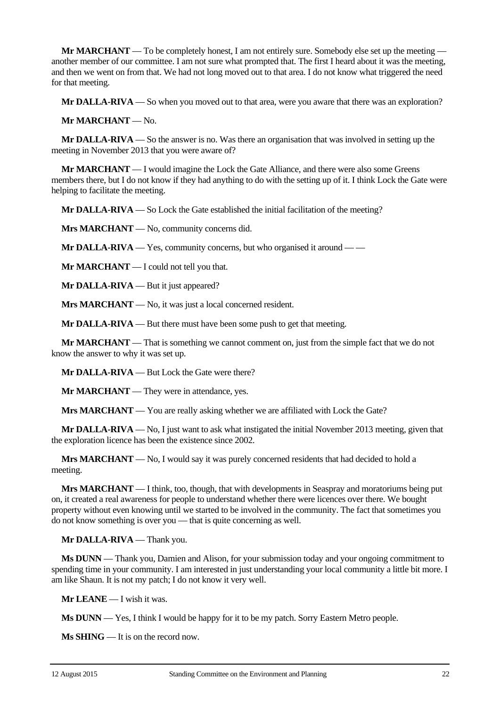**Mr MARCHANT** — To be completely honest, I am not entirely sure. Somebody else set up the meeting another member of our committee. I am not sure what prompted that. The first I heard about it was the meeting, and then we went on from that. We had not long moved out to that area. I do not know what triggered the need for that meeting.

**Mr DALLA-RIVA** — So when you moved out to that area, were you aware that there was an exploration?

**Mr MARCHANT** — No.

**Mr DALLA-RIVA** — So the answer is no. Was there an organisation that was involved in setting up the meeting in November 2013 that you were aware of?

**Mr MARCHANT** — I would imagine the Lock the Gate Alliance, and there were also some Greens members there, but I do not know if they had anything to do with the setting up of it. I think Lock the Gate were helping to facilitate the meeting.

**Mr DALLA-RIVA** — So Lock the Gate established the initial facilitation of the meeting?

**Mrs MARCHANT** — No, community concerns did.

**Mr DALLA-RIVA** — Yes, community concerns, but who organised it around — —

**Mr MARCHANT** — I could not tell you that.

**Mr DALLA-RIVA** — But it just appeared?

**Mrs MARCHANT** — No, it was just a local concerned resident.

**Mr DALLA-RIVA** — But there must have been some push to get that meeting.

**Mr MARCHANT** — That is something we cannot comment on, just from the simple fact that we do not know the answer to why it was set up.

**Mr DALLA-RIVA** — But Lock the Gate were there?

**Mr MARCHANT** — They were in attendance, yes.

**Mrs MARCHANT** — You are really asking whether we are affiliated with Lock the Gate?

**Mr DALLA-RIVA** — No, I just want to ask what instigated the initial November 2013 meeting, given that the exploration licence has been the existence since 2002.

**Mrs MARCHANT** — No, I would say it was purely concerned residents that had decided to hold a meeting.

**Mrs MARCHANT** — I think, too, though, that with developments in Seaspray and moratoriums being put on, it created a real awareness for people to understand whether there were licences over there. We bought property without even knowing until we started to be involved in the community. The fact that sometimes you do not know something is over you — that is quite concerning as well.

**Mr DALLA-RIVA** — Thank you.

**Ms DUNN** — Thank you, Damien and Alison, for your submission today and your ongoing commitment to spending time in your community. I am interested in just understanding your local community a little bit more. I am like Shaun. It is not my patch; I do not know it very well.

**Mr LEANE** — I wish it was.

**Ms DUNN** — Yes, I think I would be happy for it to be my patch. Sorry Eastern Metro people.

**Ms SHING** — It is on the record now.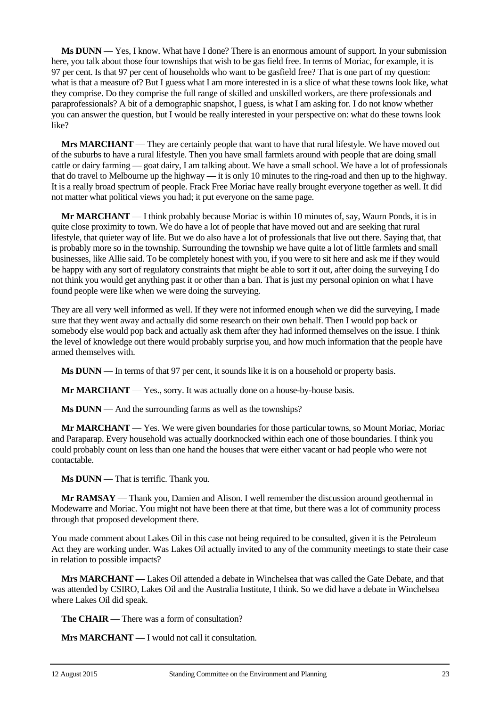**Ms DUNN** — Yes, I know. What have I done? There is an enormous amount of support. In your submission here, you talk about those four townships that wish to be gas field free. In terms of Moriac, for example, it is 97 per cent. Is that 97 per cent of households who want to be gasfield free? That is one part of my question: what is that a measure of? But I guess what I am more interested in is a slice of what these towns look like, what they comprise. Do they comprise the full range of skilled and unskilled workers, are there professionals and paraprofessionals? A bit of a demographic snapshot, I guess, is what I am asking for. I do not know whether you can answer the question, but I would be really interested in your perspective on: what do these towns look like?

**Mrs MARCHANT** — They are certainly people that want to have that rural lifestyle. We have moved out of the suburbs to have a rural lifestyle. Then you have small farmlets around with people that are doing small cattle or dairy farming — goat dairy, I am talking about. We have a small school. We have a lot of professionals that do travel to Melbourne up the highway — it is only 10 minutes to the ring-road and then up to the highway. It is a really broad spectrum of people. Frack Free Moriac have really brought everyone together as well. It did not matter what political views you had; it put everyone on the same page.

**Mr MARCHANT** — I think probably because Moriac is within 10 minutes of, say, Waurn Ponds, it is in quite close proximity to town. We do have a lot of people that have moved out and are seeking that rural lifestyle, that quieter way of life. But we do also have a lot of professionals that live out there. Saying that, that is probably more so in the township. Surrounding the township we have quite a lot of little farmlets and small businesses, like Allie said. To be completely honest with you, if you were to sit here and ask me if they would be happy with any sort of regulatory constraints that might be able to sort it out, after doing the surveying I do not think you would get anything past it or other than a ban. That is just my personal opinion on what I have found people were like when we were doing the surveying.

They are all very well informed as well. If they were not informed enough when we did the surveying, I made sure that they went away and actually did some research on their own behalf. Then I would pop back or somebody else would pop back and actually ask them after they had informed themselves on the issue. I think the level of knowledge out there would probably surprise you, and how much information that the people have armed themselves with.

**Ms DUNN** — In terms of that 97 per cent, it sounds like it is on a household or property basis.

**Mr MARCHANT** — Yes., sorry. It was actually done on a house-by-house basis.

**Ms DUNN** — And the surrounding farms as well as the townships?

**Mr MARCHANT** — Yes. We were given boundaries for those particular towns, so Mount Moriac, Moriac and Paraparap. Every household was actually doorknocked within each one of those boundaries. I think you could probably count on less than one hand the houses that were either vacant or had people who were not contactable.

**Ms DUNN** — That is terrific. Thank you.

**Mr RAMSAY** — Thank you, Damien and Alison. I well remember the discussion around geothermal in Modewarre and Moriac. You might not have been there at that time, but there was a lot of community process through that proposed development there.

You made comment about Lakes Oil in this case not being required to be consulted, given it is the Petroleum Act they are working under. Was Lakes Oil actually invited to any of the community meetings to state their case in relation to possible impacts?

**Mrs MARCHANT** — Lakes Oil attended a debate in Winchelsea that was called the Gate Debate, and that was attended by CSIRO, Lakes Oil and the Australia Institute, I think. So we did have a debate in Winchelsea where Lakes Oil did speak.

**The CHAIR** — There was a form of consultation?

**Mrs MARCHANT** — I would not call it consultation.